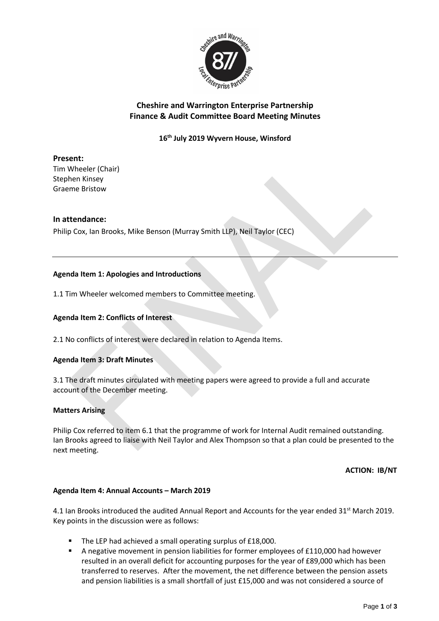

# **Cheshire and Warrington Enterprise Partnership Finance & Audit Committee Board Meeting Minutes**

**16 th July 2019 Wyvern House, Winsford**

# **Present:**

Tim Wheeler (Chair) Stephen Kinsey Graeme Bristow

# **In attendance:**

Philip Cox, Ian Brooks, Mike Benson (Murray Smith LLP), Neil Taylor (CEC)

# **Agenda Item 1: Apologies and Introductions**

1.1 Tim Wheeler welcomed members to Committee meeting.

### **Agenda Item 2: Conflicts of Interest**

2.1 No conflicts of interest were declared in relation to Agenda Items.

### **Agenda Item 3: Draft Minutes**

3.1 The draft minutes circulated with meeting papers were agreed to provide a full and accurate account of the December meeting.

### **Matters Arising**

Philip Cox referred to item 6.1 that the programme of work for Internal Audit remained outstanding. Ian Brooks agreed to liaise with Neil Taylor and Alex Thompson so that a plan could be presented to the next meeting.

**ACTION: IB/NT**

### **Agenda Item 4: Annual Accounts – March 2019**

4.1 Ian Brooks introduced the audited Annual Report and Accounts for the year ended  $31^{st}$  March 2019. Key points in the discussion were as follows:

- The LEP had achieved a small operating surplus of £18,000.
- A negative movement in pension liabilities for former employees of £110,000 had however resulted in an overall deficit for accounting purposes for the year of £89,000 which has been transferred to reserves. After the movement, the net difference between the pension assets and pension liabilities is a small shortfall of just £15,000 and was not considered a source of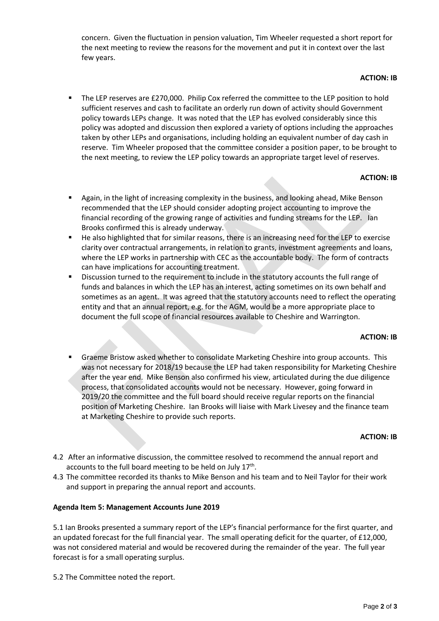concern. Given the fluctuation in pension valuation, Tim Wheeler requested a short report for the next meeting to review the reasons for the movement and put it in context over the last few years.

### **ACTION: IB**

The LEP reserves are £270,000. Philip Cox referred the committee to the LEP position to hold sufficient reserves and cash to facilitate an orderly run down of activity should Government policy towards LEPs change. It was noted that the LEP has evolved considerably since this policy was adopted and discussion then explored a variety of options including the approaches taken by other LEPs and organisations, including holding an equivalent number of day cash in reserve. Tim Wheeler proposed that the committee consider a position paper, to be brought to the next meeting, to review the LEP policy towards an appropriate target level of reserves.

# **ACTION: IB**

- Again, in the light of increasing complexity in the business, and looking ahead, Mike Benson recommended that the LEP should consider adopting project accounting to improve the financial recording of the growing range of activities and funding streams for the LEP. Ian Brooks confirmed this is already underway.
- He also highlighted that for similar reasons, there is an increasing need for the LEP to exercise clarity over contractual arrangements, in relation to grants, investment agreements and loans, where the LEP works in partnership with CEC as the accountable body. The form of contracts can have implications for accounting treatment.
- **EXECT** Discussion turned to the requirement to include in the statutory accounts the full range of funds and balances in which the LEP has an interest, acting sometimes on its own behalf and sometimes as an agent. It was agreed that the statutory accounts need to reflect the operating entity and that an annual report, e.g. for the AGM, would be a more appropriate place to document the full scope of financial resources available to Cheshire and Warrington.

### **ACTION: IB**

Graeme Bristow asked whether to consolidate Marketing Cheshire into group accounts. This was not necessary for 2018/19 because the LEP had taken responsibility for Marketing Cheshire after the year end. Mike Benson also confirmed his view, articulated during the due diligence process, that consolidated accounts would not be necessary. However, going forward in 2019/20 the committee and the full board should receive regular reports on the financial position of Marketing Cheshire. Ian Brooks will liaise with Mark Livesey and the finance team at Marketing Cheshire to provide such reports.

### **ACTION: IB**

- 4.2 After an informative discussion, the committee resolved to recommend the annual report and accounts to the full board meeting to be held on July  $17<sup>th</sup>$ .
- 4.3 The committee recorded its thanks to Mike Benson and his team and to Neil Taylor for their work and support in preparing the annual report and accounts.

### **Agenda Item 5: Management Accounts June 2019**

5.1 Ian Brooks presented a summary report of the LEP's financial performance for the first quarter, and an updated forecast for the full financial year. The small operating deficit for the quarter, of £12,000, was not considered material and would be recovered during the remainder of the year. The full year forecast is for a small operating surplus.

5.2 The Committee noted the report.